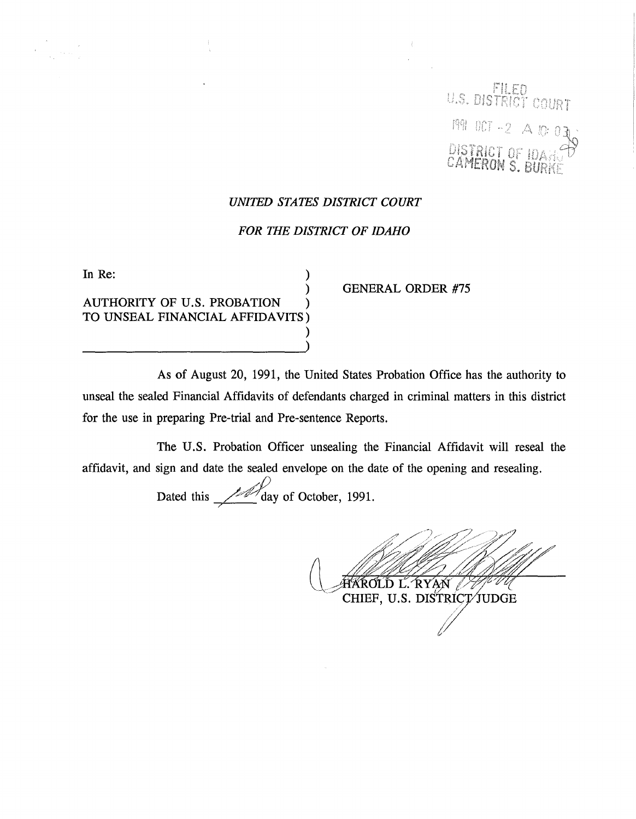U.S. DISTRICT COURT 1991 OCT -2 A 10: 0

## *UNITED STATES DISTRICT COURT*

## *FOR THE DISTRICT OF IDAHO*

| In Re:                          |  |
|---------------------------------|--|
|                                 |  |
| AUTHORITY OF U.S. PROBATION     |  |
| TO UNSEAL FINANCIAL AFFIDAVITS) |  |
|                                 |  |
|                                 |  |

GENERAL ORDER #75

As of August 20, 1991, the United States Probation Office has the authority to unseal the sealed Financial Affidavits of defendants charged in criminal matters in this district for the use in preparing Pre-trial and Pre-sentence Reports.

The U.S. Probation Officer unsealing the Financial Affidavit will reseal the affidavit, and sign and date the sealed envelope on the date of the opening and resealing.

Dated this  $\frac{1}{2}$  day of October, 1991.

HAROLD L. RYAN

CHIEF, U.S. DISTRICT/JUDGE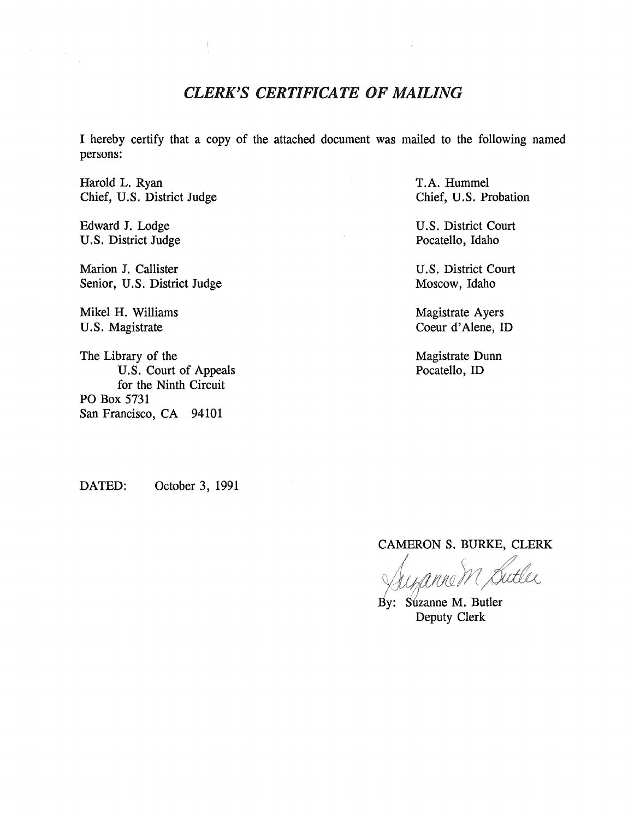## *CLERK'S CERTIFICATE OF MAILING*

I hereby certify that a copy of the attached document was mailed to the following named persons:

Harold L. Ryan Chief, U.S. District Judge

Edward J. Lodge U.S. District Judge

Marion J. Callister Senior, U.S. District Judge

Mikel H. Williams U.S. Magistrate

The Library of the U.S. Court of Appeals for the Ninth Circuit PO Box 5731 San Francisco, CA 94101

T.A. Hummel Chief, U.S. Probation

U.S. District Court Pocatello, Idaho

U.S. District Court Moscow, Idaho

Magistrate Ayers Coeur d'Alene, ID

Magistrate Dunn Pocatello, ID

DATED: October 3, 1991

CAMERON S. BURKE, CLERK

By: Suzanne M. Butler Deputy Clerk